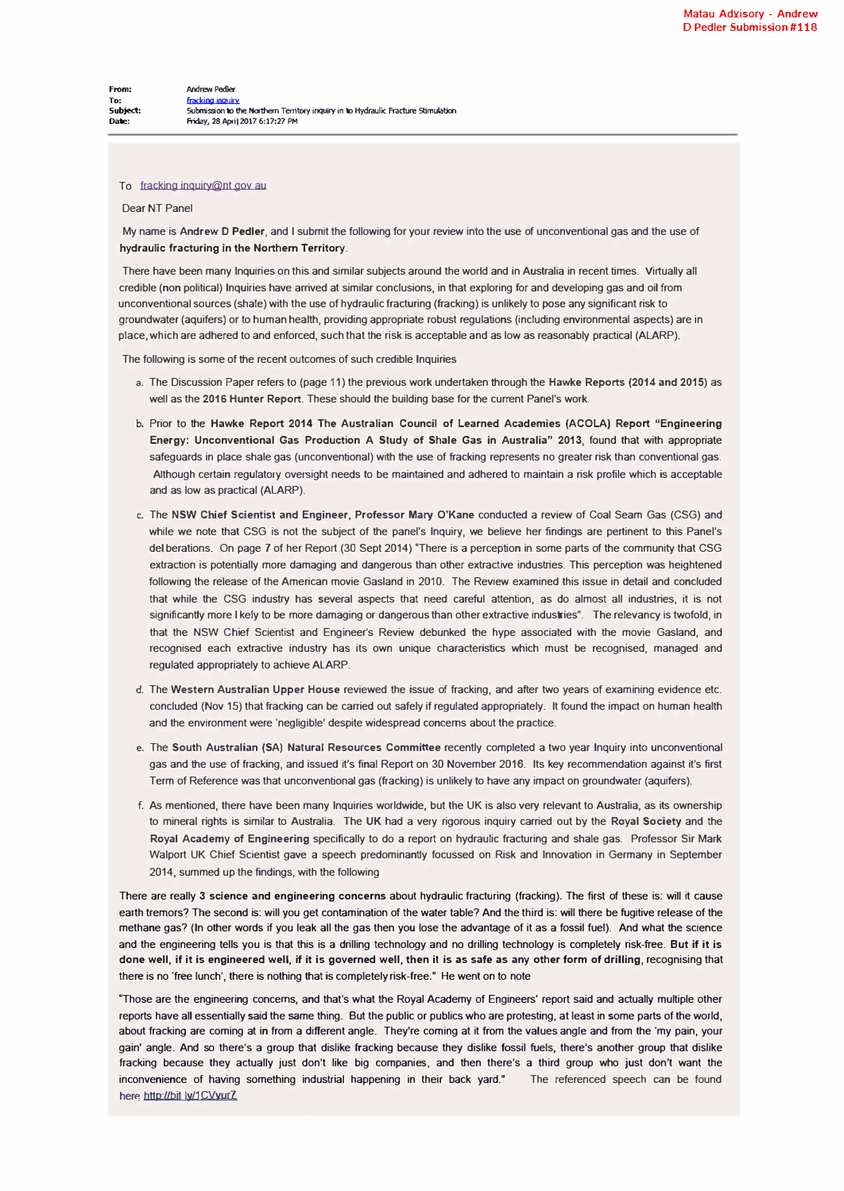## To fracking inquiry@nt gov au

## **Dear NT Panel**

**My name is Andrew D Pedler, and I submit the following for your review into the use of unconventional gas and the use of hydraulic fracturing in the Northern Territory.** 

**There have been many Inquiries on this and similar subjects around the world and in Australia in recent times. Virtually all credible (non political) Inquiries have arrived at similar conclusions, in that exploring for and developing gas and oil from**  unconventional sources (shale) with the use of hydraulic fracturing (fracking) is unlikely to pose any significant risk to **groundwater (aquifers) or to human health, providing appropriate robust regulations (including environmental aspects) are in place, which are adhered to and enforced, such that the risk is acceptable and as low as reasonably practical (ALARP).** 

**The following is some of the recent outcomes of such credible Inquiries** 

- **a. The Discussion Paper refers to (page 11) the previous work undertaken through the Hawke Reports (2014 and 2015) as well as the 2016 Hunter Report. These should the building base for the current Panel's work.**
- **b. Prior to the Hawke Report 2014 The Australian Council of Learned Academies (ACOLA) Report "Engineering Energy: Unconventional Gas Production A Study of Shale Gas in Australia" 2013, found that with appropriate**  safeguards in place shale gas (unconventional) with the use of fracking represents no greater risk than conventional gas. **Although certain regulatory oversight needs to be maintained and adhered to maintain a risk profile which is acceptable and as low as practical (ALARP).**
- **c. The NSW Chief Scientist and Engineer, Professor Mary O'Kane conducted a review of Coal Seam Gas (CSG) and while we note that CSG is not the subject of the panel's Inquiry, we believe her findings are pertinent to this Panel's del berations. On page 7 of her Report (30 Sept 2014) "There is a perception in some parts of the community that CSG extraction is potentially more damaging and dangerous than other extractive industries. This perception was heightened following the release of the American movie Gasland in 2010. The Review examined this issue in detail and concluded that while the CSG industry has several aspects that need careful attention, as do almost all industries, it is not significantly more I kely to be more damaging or dangerous than other extractive industries". The relevancy is twofold, in that the NSW Chief Scientist and Engineer's Review debunked the hype associated with the movie Gasland, and recognised each extractive industry has its own unique characteristics which must be recognised, managed and regulated appropriately to achieve ALARP.**
- **d. The Western Australian Upper House reviewed the issue of tracking, and after two years of examining evidence etc. concluded (Nov 15) that tracking can be carried out safely if regulated appropriately. It found the impact on human health and the environment were 'negligible' despite widespread concerns about the practice.**
- **e. The South Australian (SA) Natural Resources Committee recently completed a two year Inquiry into unconventional gas and the use of tracking, and issued it's final Report on 30 November 2016. Its key recommendation against it's first**  Term of Reference was that unconventional gas (fracking) is unlikely to have any impact on groundwater (aquifers).
- **f. As mentioned, there have been many Inquiries worldwide, but the UK is also very relevant to Australia, as its ownership to mineral rights is similar to Australia. The UK had a very rigorous inquiry carried out by the Royal Society and the Royal Academy of Engineering specifically to do a report on hydraulic fracturing and shale gas. Professor Sir Mark**  Walport UK Chief Scientist gave a speech predominantly focussed on Risk and Innovation in Germany in September **2014, summed up the findings, with the following**

**There are really 3 science and engineering concerns about hydraulic fracturing (tracking). The first of these is: will it cause earth tremors? The second is: will you get contamination of the water table? And the third is: will there be fugitive release of the methane gas? (In other words if you leak all the gas then you lose the advantage of it as a fossil fuel). And what the science and the engineering tells you is that this is a drilling technology and no drilling technology is completely risk-free. But if it is done well, if it is engineered well, if it is governed well, then it is as safe as any other form of drilling, recognising that**  there is no 'free lunch', there is nothing that is completely risk-free.<sup>\*</sup> He went on to note

**"Those are the engineering concerns, and that's what the Royal Academy of Engineers' report said and actually multiple other reports have all essentially said the same thing. But the public or publics who are protesting, at least in some parts of the world, about tracking are coming at in from a different angle. They're coming at it from the values angle and from the 'my pain, your gain' angle. And so there's a group that dislike tracking because they dislike fossil fuels, there's another group that dislike tracking because they actually just don't like big companies, and then there's a third group who just don't want the inconvenience of having something industrial happening in their back yard." The referenced speech can be found**  here http://bit ly/1 CVyurZ